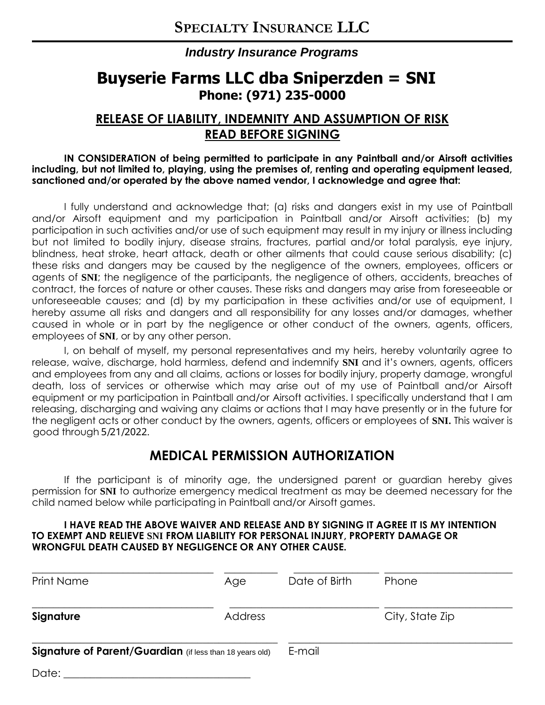### *Industry Insurance Programs*

# **Buyserie Farms LLC dba Sniperzden = SNI Phone: (971) 235-0000**

## **RELEASE OF LIABILITY, INDEMNITY AND ASSUMPTION OF RISK READ BEFORE SIGNING**

**IN CONSIDERATION of being permitted to participate in any Paintball and/or Airsoft activities including, but not limited to, playing, using the premises of, renting and operating equipment leased, sanctioned and/or operated by the above named vendor, I acknowledge and agree that:**

I fully understand and acknowledge that; (a) risks and dangers exist in my use of Paintball and/or Airsoft equipment and my participation in Paintball and/or Airsoft activities; (b) my participation in such activities and/or use of such equipment may result in my injury or illness including but not limited to bodily injury, disease strains, fractures, partial and/or total paralysis, eye injury, blindness, heat stroke, heart attack, death or other ailments that could cause serious disability; (c) these risks and dangers may be caused by the negligence of the owners, employees, officers or agents of **SNI**; the negligence of the participants, the negligence of others, accidents, breaches of contract, the forces of nature or other causes. These risks and dangers may arise from foreseeable or unforeseeable causes; and (d) by my participation in these activities and/or use of equipment, I hereby assume all risks and dangers and all responsibility for any losses and/or damages, whether caused in whole or in part by the negligence or other conduct of the owners, agents, officers, employees of **SNI**, or by any other person.

I, on behalf of myself, my personal representatives and my heirs, hereby voluntarily agree to release, waive, discharge, hold harmless, defend and indemnify **SNI** and it's owners, agents, officers and employees from any and all claims, actions or losses for bodily injury, property damage, wrongful death, loss of services or otherwise which may arise out of my use of Paintball and/or Airsoft equipment or my participation in Paintball and/or Airsoft activities. I specifically understand that I am releasing, discharging and waiving any claims or actions that I may have presently or in the future for the negligent acts or other conduct by the owners, agents, officers or employees of **SNI.** This waiver is good through  $5/21/2022$ .

## **MEDICAL PERMISSION AUTHORIZATION**

If the participant is of minority age, the undersigned parent or guardian hereby gives permission for **SNI** to authorize emergency medical treatment as may be deemed necessary for the child named below while participating in Paintball and/or Airsoft games.

#### **I HAVE READ THE ABOVE WAIVER AND RELEASE AND BY SIGNING IT AGREE IT IS MY INTENTION TO EXEMPT AND RELIEVE SNI FROM LIABILITY FOR PERSONAL INJURY, PROPERTY DAMAGE OR WRONGFUL DEATH CAUSED BY NEGLIGENCE OR ANY OTHER CAUSE.**

| <b>Print Name</b>                                        | Age     | Date of Birth | Phone           |
|----------------------------------------------------------|---------|---------------|-----------------|
| Signature                                                | Address |               | City, State Zip |
| Signature of Parent/Guardian (if less than 18 years old) |         | E-mail        |                 |
| Date:                                                    |         |               |                 |